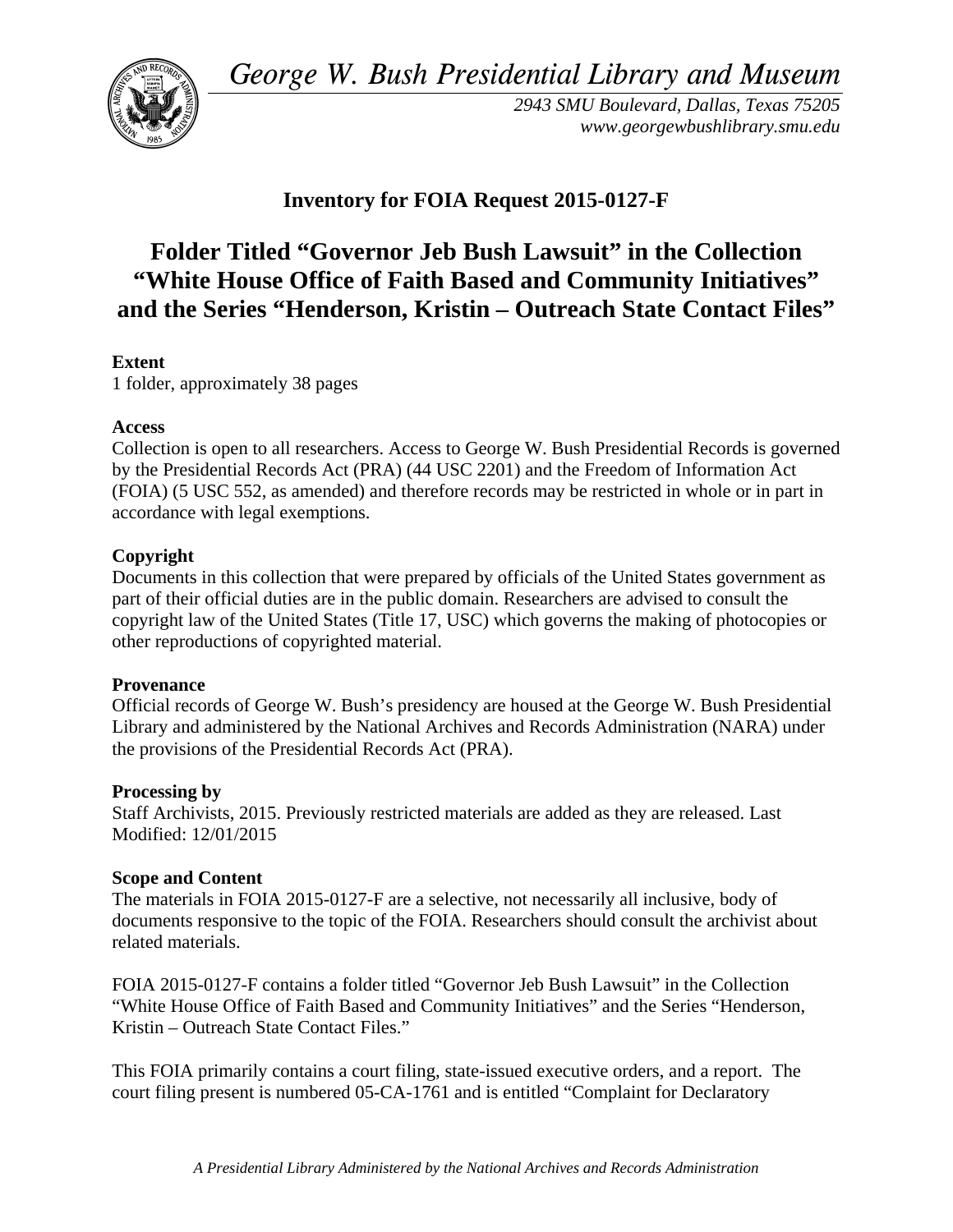*George W. Bush Presidential Library and Museum* 



*2943 SMU Boulevard, Dallas, Texas 75205 <www.georgewbushlibrary.smu.edu>* 

# **Inventory for FOIA Request 2015-0127-F**

# **Folder Titled "Governor Jeb Bush Lawsuit" in the Collection "White House Office of Faith Based and Community Initiatives" and the Series "Henderson, Kristin – Outreach State Contact Files"**

# **Extent**

1 folder, approximately 38 pages

# **Access**

Collection is open to all researchers. Access to George W. Bush Presidential Records is governed by the Presidential Records Act (PRA) (44 USC 2201) and the Freedom of Information Act (FOIA) (5 USC 552, as amended) and therefore records may be restricted in whole or in part in accordance with legal exemptions.

# **Copyright**

Documents in this collection that were prepared by officials of the United States government as part of their official duties are in the public domain. Researchers are advised to consult the copyright law of the United States (Title 17, USC) which governs the making of photocopies or other reproductions of copyrighted material.

#### **Provenance**

Official records of George W. Bush's presidency are housed at the George W. Bush Presidential Library and administered by the National Archives and Records Administration (NARA) under the provisions of the Presidential Records Act (PRA).

#### **Processing by**

Staff Archivists, 2015. Previously restricted materials are added as they are released. Last Modified: 12/01/2015

#### **Scope and Content**

The materials in FOIA 2015-0127-F are a selective, not necessarily all inclusive, body of documents responsive to the topic of the FOIA. Researchers should consult the archivist about related materials.

FOIA 2015-0127-F contains a folder titled "Governor Jeb Bush Lawsuit" in the Collection "White House Office of Faith Based and Community Initiatives" and the Series "Henderson, Kristin – Outreach State Contact Files."

This FOIA primarily contains a court filing, state-issued executive orders, and a report. The court filing present is numbered 05-CA-1761 and is entitled "Complaint for Declaratory